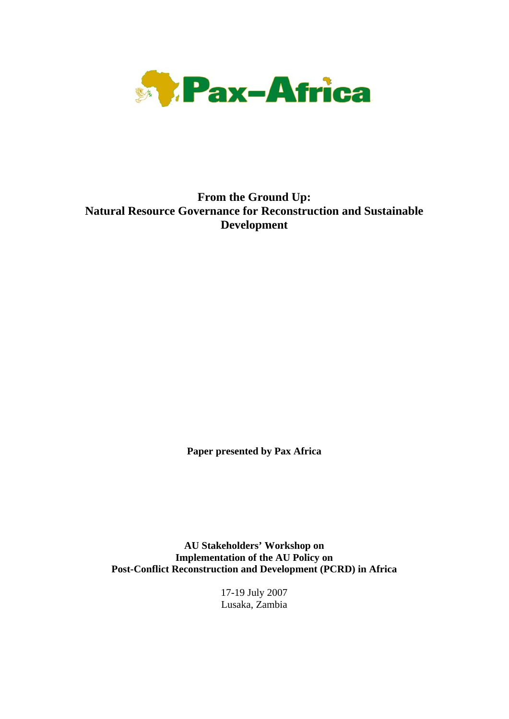

# **From the Ground Up: Natural Resource Governance for Reconstruction and Sustainable Development**

**Paper presented by Pax Africa** 

**AU Stakeholders' Workshop on Implementation of the AU Policy on Post-Conflict Reconstruction and Development (PCRD) in Africa** 

> 17-19 July 2007 Lusaka, Zambia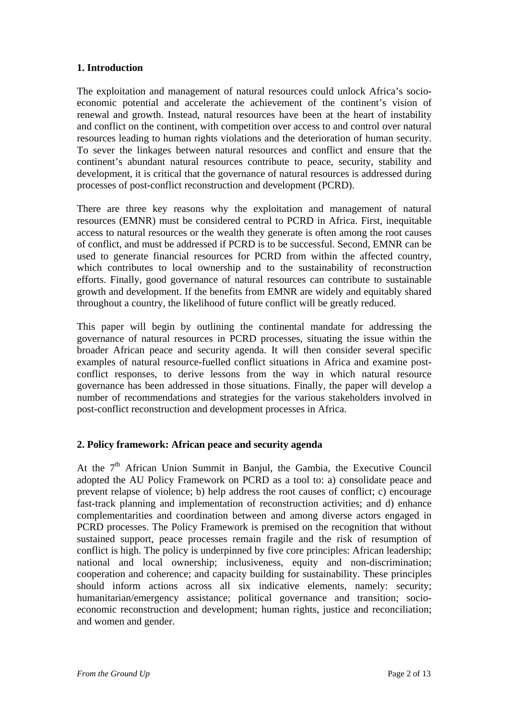# **1. Introduction**

The exploitation and management of natural resources could unlock Africa's socioeconomic potential and accelerate the achievement of the continent's vision of renewal and growth. Instead, natural resources have been at the heart of instability and conflict on the continent, with competition over access to and control over natural resources leading to human rights violations and the deterioration of human security. To sever the linkages between natural resources and conflict and ensure that the continent's abundant natural resources contribute to peace, security, stability and development, it is critical that the governance of natural resources is addressed during processes of post-conflict reconstruction and development (PCRD).

There are three key reasons why the exploitation and management of natural resources (EMNR) must be considered central to PCRD in Africa. First, inequitable access to natural resources or the wealth they generate is often among the root causes of conflict, and must be addressed if PCRD is to be successful. Second, EMNR can be used to generate financial resources for PCRD from within the affected country, which contributes to local ownership and to the sustainability of reconstruction efforts. Finally, good governance of natural resources can contribute to sustainable growth and development. If the benefits from EMNR are widely and equitably shared throughout a country, the likelihood of future conflict will be greatly reduced.

This paper will begin by outlining the continental mandate for addressing the governance of natural resources in PCRD processes, situating the issue within the broader African peace and security agenda. It will then consider several specific examples of natural resource-fuelled conflict situations in Africa and examine postconflict responses, to derive lessons from the way in which natural resource governance has been addressed in those situations. Finally, the paper will develop a number of recommendations and strategies for the various stakeholders involved in post-conflict reconstruction and development processes in Africa.

# **2. Policy framework: African peace and security agenda**

At the 7<sup>th</sup> African Union Summit in Banjul, the Gambia, the Executive Council adopted the AU Policy Framework on PCRD as a tool to: a) consolidate peace and prevent relapse of violence; b) help address the root causes of conflict; c) encourage fast-track planning and implementation of reconstruction activities; and d) enhance complementarities and coordination between and among diverse actors engaged in PCRD processes. The Policy Framework is premised on the recognition that without sustained support, peace processes remain fragile and the risk of resumption of conflict is high. The policy is underpinned by five core principles: African leadership; national and local ownership; inclusiveness, equity and non-discrimination; cooperation and coherence; and capacity building for sustainability. These principles should inform actions across all six indicative elements, namely: security; humanitarian/emergency assistance; political governance and transition; socioeconomic reconstruction and development; human rights, justice and reconciliation; and women and gender.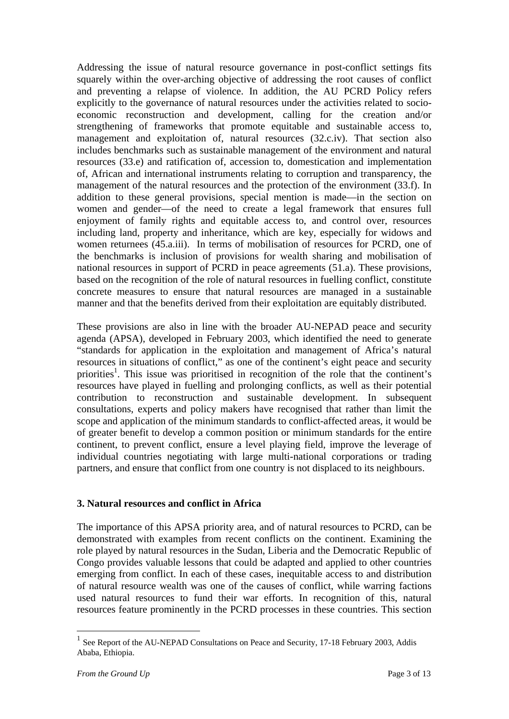Addressing the issue of natural resource governance in post-conflict settings fits squarely within the over-arching objective of addressing the root causes of conflict and preventing a relapse of violence. In addition, the AU PCRD Policy refers explicitly to the governance of natural resources under the activities related to socioeconomic reconstruction and development, calling for the creation and/or strengthening of frameworks that promote equitable and sustainable access to, management and exploitation of, natural resources (32.c.iv). That section also includes benchmarks such as sustainable management of the environment and natural resources (33.e) and ratification of, accession to, domestication and implementation of, African and international instruments relating to corruption and transparency, the management of the natural resources and the protection of the environment (33.f). In addition to these general provisions, special mention is made—in the section on women and gender—of the need to create a legal framework that ensures full enjoyment of family rights and equitable access to, and control over, resources including land, property and inheritance, which are key, especially for widows and women returnees (45.a.iii). In terms of mobilisation of resources for PCRD, one of the benchmarks is inclusion of provisions for wealth sharing and mobilisation of national resources in support of PCRD in peace agreements (51.a). These provisions, based on the recognition of the role of natural resources in fuelling conflict, constitute concrete measures to ensure that natural resources are managed in a sustainable manner and that the benefits derived from their exploitation are equitably distributed.

These provisions are also in line with the broader AU-NEPAD peace and security agenda (APSA), developed in February 2003, which identified the need to generate "standards for application in the exploitation and management of Africa's natural resources in situations of conflict," as one of the continent's eight peace and security priorities<sup>1</sup>. This issue was prioritised in recognition of the role that the continent's resources have played in fuelling and prolonging conflicts, as well as their potential contribution to reconstruction and sustainable development. In subsequent consultations, experts and policy makers have recognised that rather than limit the scope and application of the minimum standards to conflict-affected areas, it would be of greater benefit to develop a common position or minimum standards for the entire continent, to prevent conflict, ensure a level playing field, improve the leverage of individual countries negotiating with large multi-national corporations or trading partners, and ensure that conflict from one country is not displaced to its neighbours.

#### **3. Natural resources and conflict in Africa**

The importance of this APSA priority area, and of natural resources to PCRD, can be demonstrated with examples from recent conflicts on the continent. Examining the role played by natural resources in the Sudan, Liberia and the Democratic Republic of Congo provides valuable lessons that could be adapted and applied to other countries emerging from conflict. In each of these cases, inequitable access to and distribution of natural resource wealth was one of the causes of conflict, while warring factions used natural resources to fund their war efforts. In recognition of this, natural resources feature prominently in the PCRD processes in these countries. This section

 $1$  See Report of the AU-NEPAD Consultations on Peace and Security, 17-18 February 2003, Addis Ababa, Ethiopia.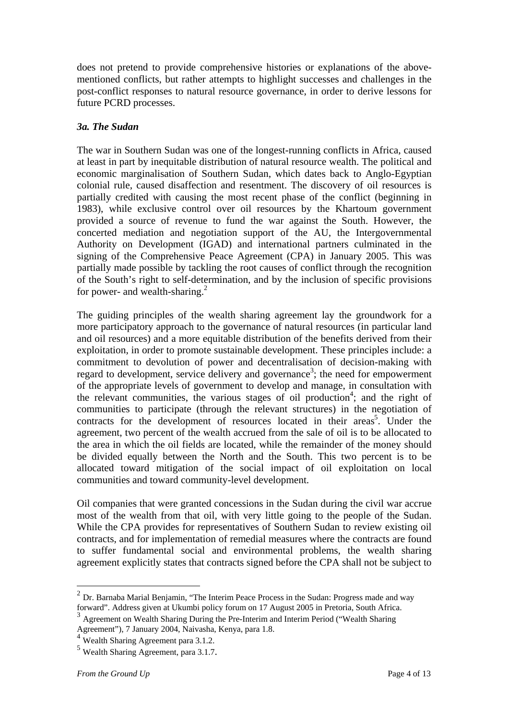does not pretend to provide comprehensive histories or explanations of the abovementioned conflicts, but rather attempts to highlight successes and challenges in the post-conflict responses to natural resource governance, in order to derive lessons for future PCRD processes.

# *3a. The Sudan*

The war in Southern Sudan was one of the longest-running conflicts in Africa, caused at least in part by inequitable distribution of natural resource wealth. The political and economic marginalisation of Southern Sudan, which dates back to Anglo-Egyptian colonial rule, caused disaffection and resentment. The discovery of oil resources is partially credited with causing the most recent phase of the conflict (beginning in 1983), while exclusive control over oil resources by the Khartoum government provided a source of revenue to fund the war against the South. However, the concerted mediation and negotiation support of the AU, the Intergovernmental Authority on Development (IGAD) and international partners culminated in the signing of the Comprehensive Peace Agreement (CPA) in January 2005. This was partially made possible by tackling the root causes of conflict through the recognition of the South's right to self-determination, and by the inclusion of specific provisions for power- and wealth-sharing. $^{2}$ 

The guiding principles of the wealth sharing agreement lay the groundwork for a more participatory approach to the governance of natural resources (in particular land and oil resources) and a more equitable distribution of the benefits derived from their exploitation, in order to promote sustainable development. These principles include: a commitment to devolution of power and decentralisation of decision-making with regard to development, service delivery and governance<sup>3</sup>; the need for empowerment of the appropriate levels of government to develop and manage, in consultation with the relevant communities, the various stages of oil production<sup>4</sup>; and the right of communities to participate (through the relevant structures) in the negotiation of contracts for the development of resources located in their areas<sup>5</sup>. Under the agreement, two percent of the wealth accrued from the sale of oil is to be allocated to the area in which the oil fields are located, while the remainder of the money should be divided equally between the North and the South. This two percent is to be allocated toward mitigation of the social impact of oil exploitation on local communities and toward community-level development.

Oil companies that were granted concessions in the Sudan during the civil war accrue most of the wealth from that oil, with very little going to the people of the Sudan. While the CPA provides for representatives of Southern Sudan to review existing oil contracts, and for implementation of remedial measures where the contracts are found to suffer fundamental social and environmental problems, the wealth sharing agreement explicitly states that contracts signed before the CPA shall not be subject to

<u>.</u>

 $^{2}$  Dr. Barnaba Marial Benjamin, "The Interim Peace Process in the Sudan: Progress made and way forward". Address given at Ukumbi policy forum on 17 August 2005 in Pretoria, South Africa.

<sup>&</sup>lt;sup>3</sup> Agreement on Wealth Sharing During the Pre-Interim and Interim Period ("Wealth Sharing") Agreement"), 7 January 2004, Naivasha, Kenya, para 1.8.

<sup>&</sup>lt;sup>4</sup> Wealth Sharing Agreement para 3.1.2.

<sup>5</sup> Wealth Sharing Agreement, para 3.1.7.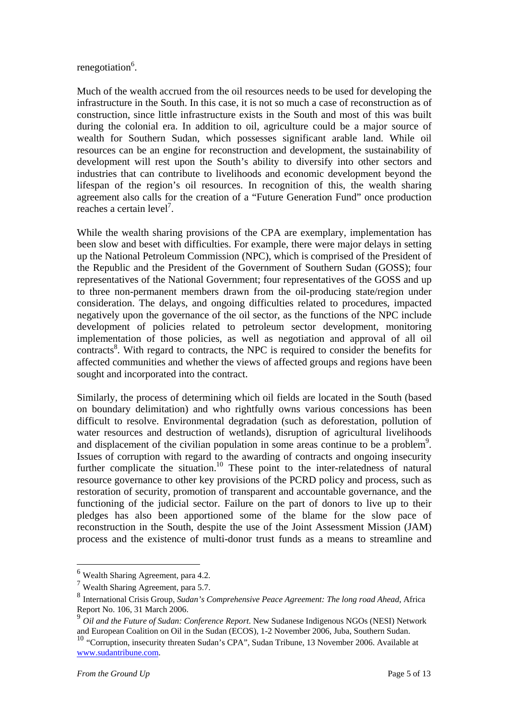# renegotiation<sup>6</sup>.

Much of the wealth accrued from the oil resources needs to be used for developing the infrastructure in the South. In this case, it is not so much a case of reconstruction as of construction, since little infrastructure exists in the South and most of this was built during the colonial era. In addition to oil, agriculture could be a major source of wealth for Southern Sudan, which possesses significant arable land. While oil resources can be an engine for reconstruction and development, the sustainability of development will rest upon the South's ability to diversify into other sectors and industries that can contribute to livelihoods and economic development beyond the lifespan of the region's oil resources. In recognition of this, the wealth sharing agreement also calls for the creation of a "Future Generation Fund" once production reaches a certain level<sup>7</sup>.

While the wealth sharing provisions of the CPA are exemplary, implementation has been slow and beset with difficulties. For example, there were major delays in setting up the National Petroleum Commission (NPC), which is comprised of the President of the Republic and the President of the Government of Southern Sudan (GOSS); four representatives of the National Government; four representatives of the GOSS and up to three non-permanent members drawn from the oil-producing state/region under consideration. The delays, and ongoing difficulties related to procedures, impacted negatively upon the governance of the oil sector, as the functions of the NPC include development of policies related to petroleum sector development, monitoring implementation of those policies, as well as negotiation and approval of all oil contracts<sup>8</sup>. With regard to contracts, the NPC is required to consider the benefits for affected communities and whether the views of affected groups and regions have been sought and incorporated into the contract.

Similarly, the process of determining which oil fields are located in the South (based on boundary delimitation) and who rightfully owns various concessions has been difficult to resolve. Environmental degradation (such as deforestation, pollution of water resources and destruction of wetlands), disruption of agricultural livelihoods and displacement of the civilian population in some areas continue to be a problem<sup>9</sup>. Issues of corruption with regard to the awarding of contracts and ongoing insecurity further complicate the situation.<sup>10</sup> These point to the inter-relatedness of natural resource governance to other key provisions of the PCRD policy and process, such as restoration of security, promotion of transparent and accountable governance, and the functioning of the judicial sector. Failure on the part of donors to live up to their pledges has also been apportioned some of the blame for the slow pace of reconstruction in the South, despite the use of the Joint Assessment Mission (JAM) process and the existence of multi-donor trust funds as a means to streamline and

<sup>6</sup> Wealth Sharing Agreement, para 4.2.

<sup>7</sup> Wealth Sharing Agreement, para 5.7.

<sup>8</sup> International Crisis Group, *Sudan's Comprehensive Peace Agreement: The long road Ahead*, Africa Report No. 106, 31 March 2006.

<sup>9</sup> *Oil and the Future of Sudan: Conference Report*. New Sudanese Indigenous NGOs (NESI) Network and European Coalition on Oil in the Sudan (ECOS), 1-2 November 2006, Juba, Southern Sudan.

<sup>&</sup>lt;sup>10</sup> "Corruption, insecurity threaten Sudan's CPA", Sudan Tribune, 13 November 2006. Available at www.sudantribune.com.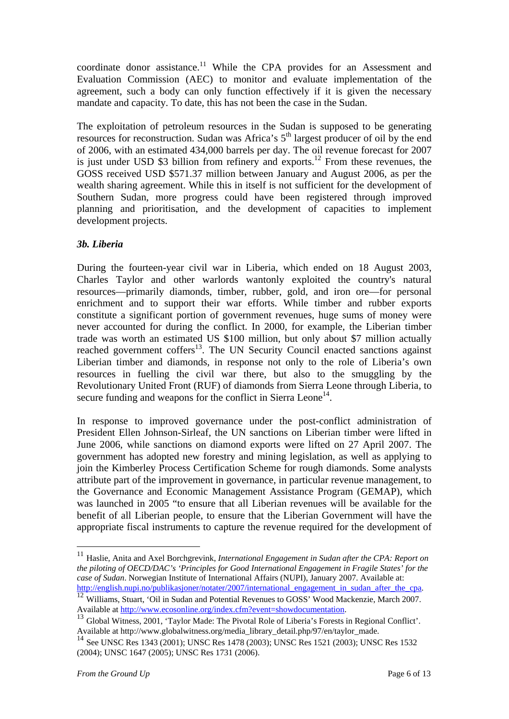coordinate donor assistance.<sup>11</sup> While the CPA provides for an Assessment and Evaluation Commission (AEC) to monitor and evaluate implementation of the agreement, such a body can only function effectively if it is given the necessary mandate and capacity. To date, this has not been the case in the Sudan.

The exploitation of petroleum resources in the Sudan is supposed to be generating resources for reconstruction. Sudan was Africa's  $5<sup>th</sup>$  largest producer of oil by the end of 2006, with an estimated 434,000 barrels per day. The oil revenue forecast for 2007 is just under USD \$3 billion from refinery and exports.<sup>12</sup> From these revenues, the GOSS received USD \$571.37 million between January and August 2006, as per the wealth sharing agreement. While this in itself is not sufficient for the development of Southern Sudan, more progress could have been registered through improved planning and prioritisation, and the development of capacities to implement development projects.

# *3b. Liberia*

During the fourteen-year civil war in Liberia, which ended on 18 August 2003, Charles Taylor and other warlords wantonly exploited the country's natural resources—primarily diamonds, timber, rubber, gold, and iron ore—for personal enrichment and to support their war efforts. While timber and rubber exports constitute a significant portion of government revenues, huge sums of money were never accounted for during the conflict. In 2000, for example, the Liberian timber trade was worth an estimated US \$100 million, but only about \$7 million actually reached government coffers<sup>13</sup>. The UN Security Council enacted sanctions against Liberian timber and diamonds, in response not only to the role of Liberia's own resources in fuelling the civil war there, but also to the smuggling by the Revolutionary United Front (RUF) of diamonds from Sierra Leone through Liberia, to secure funding and weapons for the conflict in Sierra Leone<sup>14</sup>.

In response to improved governance under the post-conflict administration of President Ellen Johnson-Sirleaf, the UN sanctions on Liberian timber were lifted in June 2006, while sanctions on diamond exports were lifted on 27 April 2007. The government has adopted new forestry and mining legislation, as well as applying to join the Kimberley Process Certification Scheme for rough diamonds. Some analysts attribute part of the improvement in governance, in particular revenue management, to the Governance and Economic Management Assistance Program (GEMAP), which was launched in 2005 "to ensure that all Liberian revenues will be available for the benefit of all Liberian people, to ensure that the Liberian Government will have the appropriate fiscal instruments to capture the revenue required for the development of

<sup>11</sup> Haslie, Anita and Axel Borchgrevink, *International Engagement in Sudan after the CPA: Report on the piloting of OECD/DAC's 'Principles for Good International Engagement in Fragile States' for the case of Sudan*. Norwegian Institute of International Affairs (NUPI), January 2007. Available at:

http://english.nupi.no/publikasjoner/notater/2007/international\_engagement\_in\_sudan\_after\_the\_cpa. 12 Williams, Stuart, 'Oil in Sudan and Potential Revenues to GOSS' Wood Mackenzie, March 2007.<br>Available at http://www.ecos

 $^{13}$  Global Witness, 2001, 'Taylor Made: The Pivotal Role of Liberia's Forests in Regional Conflict'. Available at http://www.globalwitness.org/media\_library\_detail.php/97/en/taylor\_made.

<sup>14</sup> See UNSC Res 1343 (2001); UNSC Res 1478 (2003); UNSC Res 1521 (2003); UNSC Res 1532 (2004); UNSC 1647 (2005); UNSC Res 1731 (2006).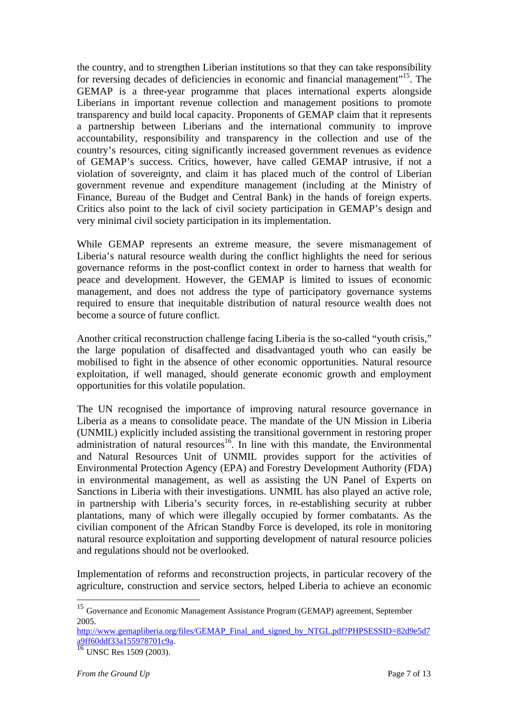the country, and to strengthen Liberian institutions so that they can take responsibility for reversing decades of deficiencies in economic and financial management"15. The GEMAP is a three-year programme that places international experts alongside Liberians in important revenue collection and management positions to promote transparency and build local capacity. Proponents of GEMAP claim that it represents a partnership between Liberians and the international community to improve accountability, responsibility and transparency in the collection and use of the country's resources, citing significantly increased government revenues as evidence of GEMAP's success. Critics, however, have called GEMAP intrusive, if not a violation of sovereignty, and claim it has placed much of the control of Liberian government revenue and expenditure management (including at the Ministry of Finance, Bureau of the Budget and Central Bank) in the hands of foreign experts. Critics also point to the lack of civil society participation in GEMAP's design and very minimal civil society participation in its implementation.

While GEMAP represents an extreme measure, the severe mismanagement of Liberia's natural resource wealth during the conflict highlights the need for serious governance reforms in the post-conflict context in order to harness that wealth for peace and development. However, the GEMAP is limited to issues of economic management, and does not address the type of participatory governance systems required to ensure that inequitable distribution of natural resource wealth does not become a source of future conflict.

Another critical reconstruction challenge facing Liberia is the so-called "youth crisis," the large population of disaffected and disadvantaged youth who can easily be mobilised to fight in the absence of other economic opportunities. Natural resource exploitation, if well managed, should generate economic growth and employment opportunities for this volatile population.

The UN recognised the importance of improving natural resource governance in Liberia as a means to consolidate peace. The mandate of the UN Mission in Liberia (UNMIL) explicitly included assisting the transitional government in restoring proper administration of natural resources<sup>16</sup>. In line with this mandate, the Environmental and Natural Resources Unit of UNMIL provides support for the activities of Environmental Protection Agency (EPA) and Forestry Development Authority (FDA) in environmental management, as well as assisting the UN Panel of Experts on Sanctions in Liberia with their investigations. UNMIL has also played an active role, in partnership with Liberia's security forces, in re-establishing security at rubber plantations, many of which were illegally occupied by former combatants. As the civilian component of the African Standby Force is developed, its role in monitoring natural resource exploitation and supporting development of natural resource policies and regulations should not be overlooked.

Implementation of reforms and reconstruction projects, in particular recovery of the agriculture, construction and service sectors, helped Liberia to achieve an economic

<u>.</u>

<sup>&</sup>lt;sup>15</sup> Governance and Economic Management Assistance Program (GEMAP) agreement, September 2005.

http://www.gemapliberia.org/files/GEMAP\_Final\_and\_signed\_by\_NTGL.pdf?PHPSESSID=82d9e5d7<br>a9ff60ddf33a155978701c9a.

 $\frac{16}{16}$  UNSC Res 1509 (2003).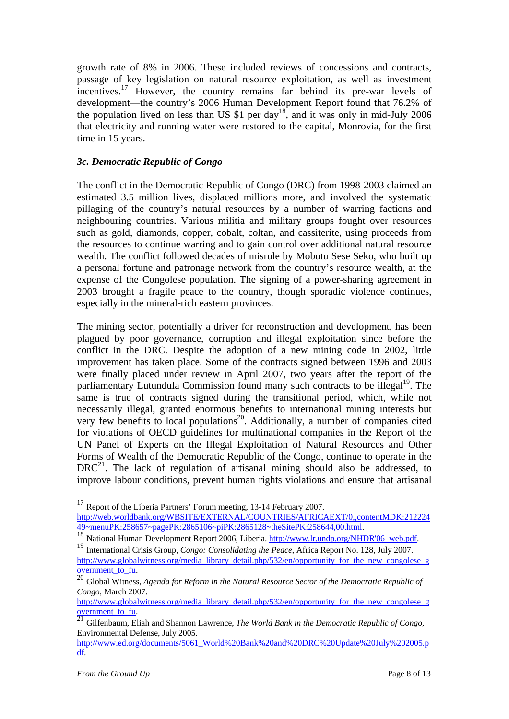growth rate of 8% in 2006. These included reviews of concessions and contracts, passage of key legislation on natural resource exploitation, as well as investment incentives.17 However, the country remains far behind its pre-war levels of development—the country's 2006 Human Development Report found that 76.2% of the population lived on less than US  $$1$  per day<sup>18</sup>, and it was only in mid-July 2006 that electricity and running water were restored to the capital, Monrovia, for the first time in 15 years.

# *3c. Democratic Republic of Congo*

The conflict in the Democratic Republic of Congo (DRC) from 1998-2003 claimed an estimated 3.5 million lives, displaced millions more, and involved the systematic pillaging of the country's natural resources by a number of warring factions and neighbouring countries. Various militia and military groups fought over resources such as gold, diamonds, copper, cobalt, coltan, and cassiterite, using proceeds from the resources to continue warring and to gain control over additional natural resource wealth. The conflict followed decades of misrule by Mobutu Sese Seko, who built up a personal fortune and patronage network from the country's resource wealth, at the expense of the Congolese population. The signing of a power-sharing agreement in 2003 brought a fragile peace to the country, though sporadic violence continues, especially in the mineral-rich eastern provinces.

The mining sector, potentially a driver for reconstruction and development, has been plagued by poor governance, corruption and illegal exploitation since before the conflict in the DRC. Despite the adoption of a new mining code in 2002, little improvement has taken place. Some of the contracts signed between 1996 and 2003 were finally placed under review in April 2007, two years after the report of the parliamentary Lutundula Commission found many such contracts to be illegal<sup>19</sup>. The same is true of contracts signed during the transitional period, which, while not necessarily illegal, granted enormous benefits to international mining interests but very few benefits to local populations<sup>20</sup>. Additionally, a number of companies cited for violations of OECD guidelines for multinational companies in the Report of the UN Panel of Experts on the Illegal Exploitation of Natural Resources and Other Forms of Wealth of the Democratic Republic of the Congo, continue to operate in the  $DRC<sup>21</sup>$ . The lack of regulation of artisanal mining should also be addressed, to improve labour conditions, prevent human rights violations and ensure that artisanal

<u>.</u>

<sup>&</sup>lt;sup>17</sup> Report of the Liberia Partners' Forum meeting, 13-14 February 2007. http://web.worldbank.org/WBSITE/EXTERNAL/COUNTRIES/AFRICAEXT/0,,contentMDK:212224<br>49~menuPK:258657~pagePK:2865106~piPK:2865128~theSitePK:258644,00.html.

The National Human Development Report 2006, Liberia. http://www.lr.undp.org/NHDR'06 web.pdf.<br><sup>19</sup> International Crisis Group, *Congo: Consolidating the Peace*, Africa Report No. 128, July 2007. http://www.globalwitness.org/media\_library\_detail.php/532/en/opportunity\_for\_the\_new\_congolese\_g

overnment\_to\_fu. 20 Global Witness, *Agenda for Reform in the Natural Resource Sector of the Democratic Republic of Congo*, March 2007.

http://www.globalwitness.org/media\_library\_detail.php/532/en/opportunity\_for\_the\_new\_congolese\_g

overnment to fu. <sup>21</sup> Gilfenbaum, Eliah and Shannon Lawrence, *The World Bank in the Democratic Republic of Congo*, Environmental Defense, July 2005.

http://www.ed.org/documents/5061\_World%20Bank%20and%20DRC%20Update%20July%202005.p df.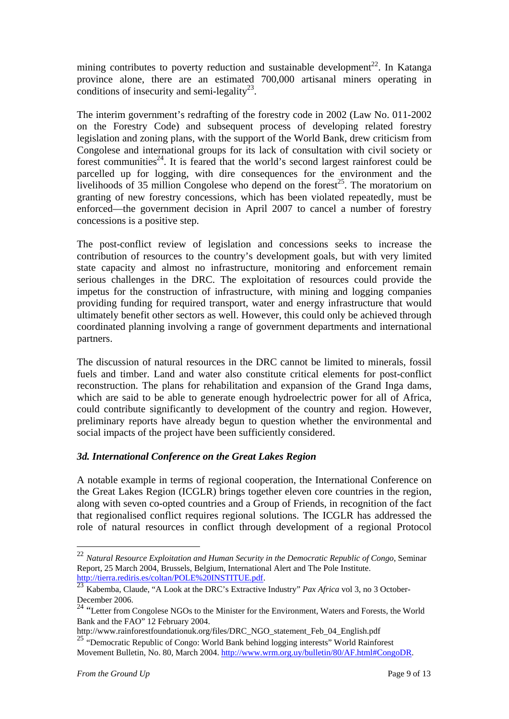mining contributes to poverty reduction and sustainable development<sup>22</sup>. In Katanga province alone, there are an estimated 700,000 artisanal miners operating in conditions of insecurity and semi-legality<sup>23</sup>.

The interim government's redrafting of the forestry code in 2002 (Law No. 011-2002 on the Forestry Code) and subsequent process of developing related forestry legislation and zoning plans, with the support of the World Bank, drew criticism from Congolese and international groups for its lack of consultation with civil society or forest communities<sup>24</sup>. It is feared that the world's second largest rainforest could be parcelled up for logging, with dire consequences for the environment and the livelihoods of 35 million Congolese who depend on the forest<sup>25</sup>. The moratorium on granting of new forestry concessions, which has been violated repeatedly, must be enforced—the government decision in April 2007 to cancel a number of forestry concessions is a positive step.

The post-conflict review of legislation and concessions seeks to increase the contribution of resources to the country's development goals, but with very limited state capacity and almost no infrastructure, monitoring and enforcement remain serious challenges in the DRC. The exploitation of resources could provide the impetus for the construction of infrastructure, with mining and logging companies providing funding for required transport, water and energy infrastructure that would ultimately benefit other sectors as well. However, this could only be achieved through coordinated planning involving a range of government departments and international partners.

The discussion of natural resources in the DRC cannot be limited to minerals, fossil fuels and timber. Land and water also constitute critical elements for post-conflict reconstruction. The plans for rehabilitation and expansion of the Grand Inga dams, which are said to be able to generate enough hydroelectric power for all of Africa, could contribute significantly to development of the country and region. However, preliminary reports have already begun to question whether the environmental and social impacts of the project have been sufficiently considered.

#### *3d. International Conference on the Great Lakes Region*

A notable example in terms of regional cooperation, the International Conference on the Great Lakes Region (ICGLR) brings together eleven core countries in the region, along with seven co-opted countries and a Group of Friends, in recognition of the fact that regionalised conflict requires regional solutions. The ICGLR has addressed the role of natural resources in conflict through development of a regional Protocol

<sup>22</sup> *Natural Resource Exploitation and Human Security in the Democratic Republic of Congo*, Seminar Report, 25 March 2004, Brussels, Belgium, International Alert and The Pole Institute.<br>http://tierra.rediris.es/coltan/POLE%20INSTITUE.pdf.

http://tierra.redirics.com/2012/2012/2012/2012/2012<br><sup>23</sup> Kabemba, Claude, "A Look at the DRC's Extractive Industry" *Pax Africa* vol 3, no 3 October-December 2006.

<sup>&</sup>lt;sup>24</sup> "Letter from Congolese NGOs to the Minister for the Environment, Waters and Forests, the World Bank and the FAO" 12 February 2004.

http://www.rainforestfoundationuk.org/files/DRC\_NGO\_statement\_Feb\_04\_English.pdf

<sup>&</sup>lt;sup>25</sup> "Democratic Republic of Congo: World Bank behind logging interests" World Rainforest Movement Bulletin, No. 80, March 2004. http://www.wrm.org.uy/bulletin/80/AF.html#CongoDR.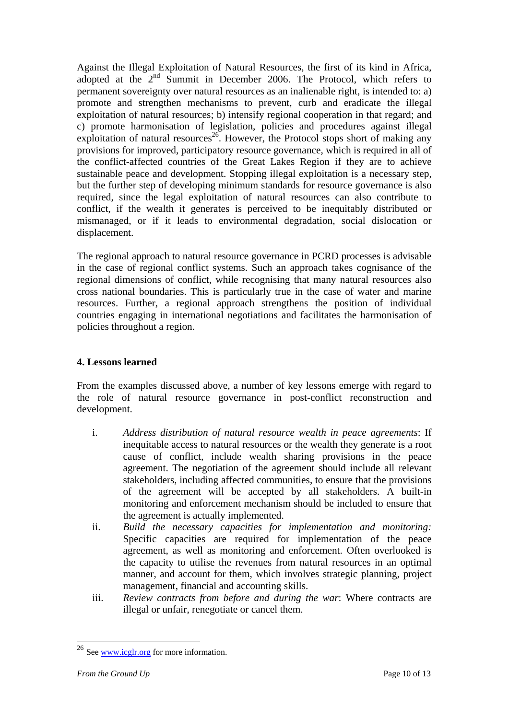Against the Illegal Exploitation of Natural Resources, the first of its kind in Africa, adopted at the 2nd Summit in December 2006. The Protocol, which refers to permanent sovereignty over natural resources as an inalienable right, is intended to: a) promote and strengthen mechanisms to prevent, curb and eradicate the illegal exploitation of natural resources; b) intensify regional cooperation in that regard; and c) promote harmonisation of legislation, policies and procedures against illegal exploitation of natural resources<sup>26</sup>. However, the Protocol stops short of making any provisions for improved, participatory resource governance, which is required in all of the conflict-affected countries of the Great Lakes Region if they are to achieve sustainable peace and development. Stopping illegal exploitation is a necessary step, but the further step of developing minimum standards for resource governance is also required, since the legal exploitation of natural resources can also contribute to conflict, if the wealth it generates is perceived to be inequitably distributed or mismanaged, or if it leads to environmental degradation, social dislocation or displacement.

The regional approach to natural resource governance in PCRD processes is advisable in the case of regional conflict systems. Such an approach takes cognisance of the regional dimensions of conflict, while recognising that many natural resources also cross national boundaries. This is particularly true in the case of water and marine resources. Further, a regional approach strengthens the position of individual countries engaging in international negotiations and facilitates the harmonisation of policies throughout a region.

# **4. Lessons learned**

From the examples discussed above, a number of key lessons emerge with regard to the role of natural resource governance in post-conflict reconstruction and development.

- i. *Address distribution of natural resource wealth in peace agreements*: If inequitable access to natural resources or the wealth they generate is a root cause of conflict, include wealth sharing provisions in the peace agreement. The negotiation of the agreement should include all relevant stakeholders, including affected communities, to ensure that the provisions of the agreement will be accepted by all stakeholders. A built-in monitoring and enforcement mechanism should be included to ensure that the agreement is actually implemented.
- ii. *Build the necessary capacities for implementation and monitoring:*  Specific capacities are required for implementation of the peace agreement, as well as monitoring and enforcement. Often overlooked is the capacity to utilise the revenues from natural resources in an optimal manner, and account for them, which involves strategic planning, project management, financial and accounting skills.
- iii. *Review contracts from before and during the war*: Where contracts are illegal or unfair, renegotiate or cancel them.

 $^{26}$  See www.icglr.org for more information.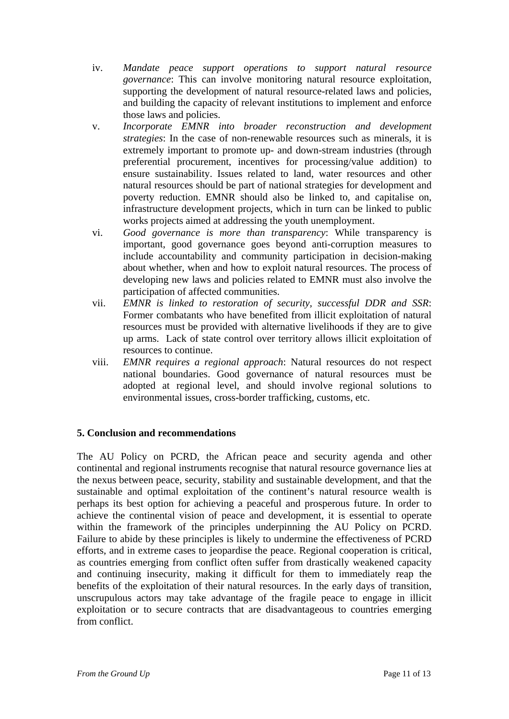- iv. *Mandate peace support operations to support natural resource governance*: This can involve monitoring natural resource exploitation, supporting the development of natural resource-related laws and policies, and building the capacity of relevant institutions to implement and enforce those laws and policies.
- v. *Incorporate EMNR into broader reconstruction and development strategies*: In the case of non-renewable resources such as minerals, it is extremely important to promote up- and down-stream industries (through preferential procurement, incentives for processing/value addition) to ensure sustainability. Issues related to land, water resources and other natural resources should be part of national strategies for development and poverty reduction. EMNR should also be linked to, and capitalise on, infrastructure development projects, which in turn can be linked to public works projects aimed at addressing the youth unemployment.
- vi. *Good governance is more than transparency*: While transparency is important, good governance goes beyond anti-corruption measures to include accountability and community participation in decision-making about whether, when and how to exploit natural resources. The process of developing new laws and policies related to EMNR must also involve the participation of affected communities.
- vii. *EMNR is linked to restoration of security, successful DDR and SSR*: Former combatants who have benefited from illicit exploitation of natural resources must be provided with alternative livelihoods if they are to give up arms. Lack of state control over territory allows illicit exploitation of resources to continue.
- viii. *EMNR requires a regional approach*: Natural resources do not respect national boundaries. Good governance of natural resources must be adopted at regional level, and should involve regional solutions to environmental issues, cross-border trafficking, customs, etc.

# **5. Conclusion and recommendations**

The AU Policy on PCRD, the African peace and security agenda and other continental and regional instruments recognise that natural resource governance lies at the nexus between peace, security, stability and sustainable development, and that the sustainable and optimal exploitation of the continent's natural resource wealth is perhaps its best option for achieving a peaceful and prosperous future. In order to achieve the continental vision of peace and development, it is essential to operate within the framework of the principles underpinning the AU Policy on PCRD. Failure to abide by these principles is likely to undermine the effectiveness of PCRD efforts, and in extreme cases to jeopardise the peace. Regional cooperation is critical, as countries emerging from conflict often suffer from drastically weakened capacity and continuing insecurity, making it difficult for them to immediately reap the benefits of the exploitation of their natural resources. In the early days of transition, unscrupulous actors may take advantage of the fragile peace to engage in illicit exploitation or to secure contracts that are disadvantageous to countries emerging from conflict.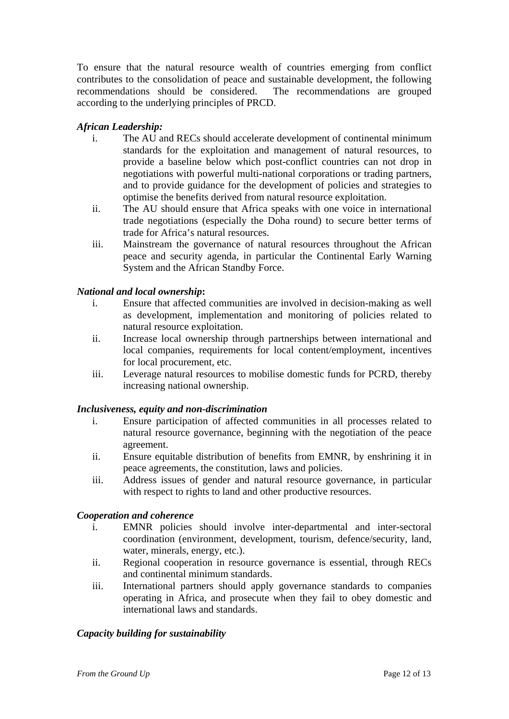To ensure that the natural resource wealth of countries emerging from conflict contributes to the consolidation of peace and sustainable development, the following recommendations should be considered. The recommendations are grouped according to the underlying principles of PRCD.

# *African Leadership:*

- i. The AU and RECs should accelerate development of continental minimum standards for the exploitation and management of natural resources, to provide a baseline below which post-conflict countries can not drop in negotiations with powerful multi-national corporations or trading partners, and to provide guidance for the development of policies and strategies to optimise the benefits derived from natural resource exploitation.
- ii. The AU should ensure that Africa speaks with one voice in international trade negotiations (especially the Doha round) to secure better terms of trade for Africa's natural resources.
- iii. Mainstream the governance of natural resources throughout the African peace and security agenda, in particular the Continental Early Warning System and the African Standby Force.

# *National and local ownership***:**

- i. Ensure that affected communities are involved in decision-making as well as development, implementation and monitoring of policies related to natural resource exploitation.
- ii. Increase local ownership through partnerships between international and local companies, requirements for local content/employment, incentives for local procurement, etc.
- iii. Leverage natural resources to mobilise domestic funds for PCRD, thereby increasing national ownership.

#### *Inclusiveness, equity and non-discrimination*

- i. Ensure participation of affected communities in all processes related to natural resource governance, beginning with the negotiation of the peace agreement.
- ii. Ensure equitable distribution of benefits from EMNR, by enshrining it in peace agreements, the constitution, laws and policies.
- iii. Address issues of gender and natural resource governance, in particular with respect to rights to land and other productive resources.

#### *Cooperation and coherence*

- i. EMNR policies should involve inter-departmental and inter-sectoral coordination (environment, development, tourism, defence/security, land, water, minerals, energy, etc.).
- ii. Regional cooperation in resource governance is essential, through RECs and continental minimum standards.
- iii. International partners should apply governance standards to companies operating in Africa, and prosecute when they fail to obey domestic and international laws and standards.

# *Capacity building for sustainability*